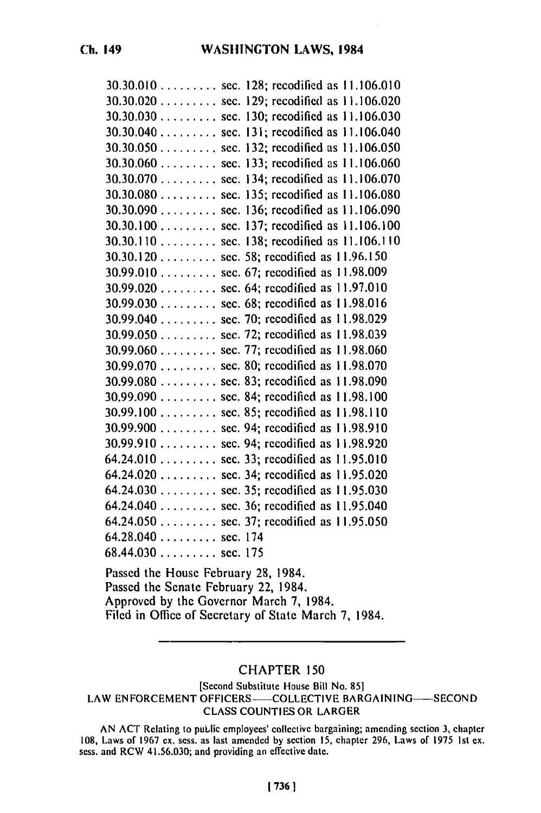| 30.30.010 sec. 128; recodified as 11.106.010 |
|----------------------------------------------|
| 30.30.020 sec. 129; recodified as 11.106.020 |
| 30.30.030 sec. 130; recodified as 11.106.030 |
| 30.30.040 sec. 131; recodified as 11.106.040 |
| 30.30.050 sec. 132; recodified as 11.106.050 |
| 30.30.060 sec. 133; recodified as 11.106.060 |
| 30.30.070 sec. 134; recodified as 11.106.070 |
| 30.30.080 sec. 135; recodified as 11.106.080 |
| 30.30.090 sec. 136; recodified as 11.106.090 |
| 30.30.100 sec. 137; recodified as 11.106.100 |
| 30.30.110 sec. 138; recodified as 11.106.110 |
| 30.30.120 sec. 58; recodified as 11.96.150   |
| 30.99.010 sec. 67; recodified as 11.98.009   |
| 30.99.020 sec. 64; recodified as 11.97.010   |
| 30.99.030 sec. 68; recodified as 11.98.016   |
| 30.99.040 sec. 70; recodified as 11.98.029   |
| 30.99.050 sec. 72; recodified as 11.98.039   |
| 30.99.060 sec. 77; recodified as 11.98.060   |
| 30.99.070  sec. 80; recodified as 11.98.070  |
| 30.99.080 sec. 83; recodified as 11.98.090   |
| 30.99.090 sec. 84; recodified as 11.98.100   |
| 30.99.100  sec. 85; recodified as 11.98.110  |
| 30.99.900 sec. 94; recodified as 11.98.910   |
| 30.99.910 sec. 94; recodified as 11.98.920   |
| $64.24.010$ sec. 33; recodified as 11.95.010 |
| $64.24.020$ sec. 34; recodified as 11.95.020 |
| $64.24.030$ sec. 35; recodified as 11.95.030 |
| 64.24.040 sec. 36; recodified as 11.95.040   |
| $64.24.050$ sec. 37; recodified as 11.95.050 |
| $64.28.040$ sec. 174                         |
| $68.44.030$ sec. 175                         |
|                                              |

Passed the House February **28,** 1984. Passed the Senate February 22, 1984. Approved **by** the Governor March **7,** 1984. Filed in Office of Secretary of State March **7,** 1984.

## **CHAPTER 150**

[Second Substitute House Bill No. **851** LAW ENFORCEMENT OFFICERS-COLLECTIVE BARGAINING-SECOND **CLASS COUNTIES** OR LARGER

**AN ACT** Relating to **puLlic** employees' collective bargaining; amending section **3,** chapter **108,** Laws of **1967 ex.** sess. as last amended **by** section **15,** chapter **296,** Laws of **1975 Ist ex.** 108, Laws of 1967 ex. sess. as last amended by section 15, chapter 296, Laws of 1975 1st ex. sess. and RCW 41.56.030; and providing an effective date.